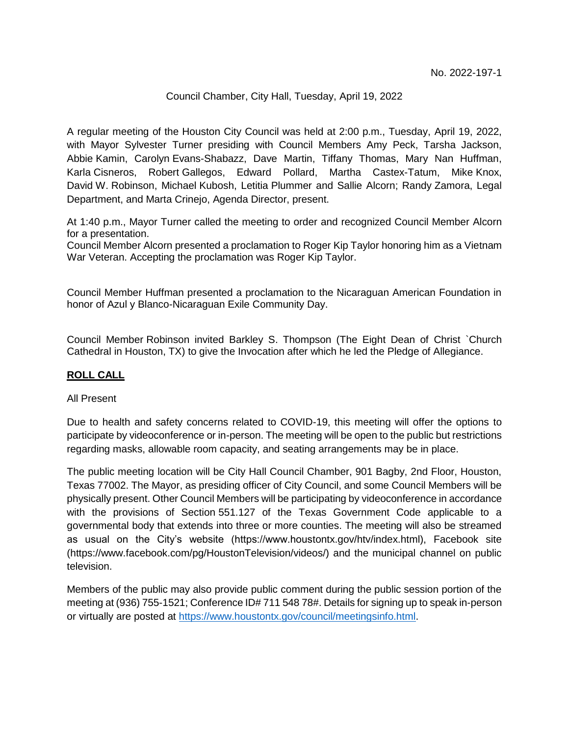## Council Chamber, City Hall, Tuesday, April 19, 2022

A regular meeting of the Houston City Council was held at 2:00 p.m., Tuesday, April 19, 2022, with Mayor Sylvester Turner presiding with Council Members Amy Peck, Tarsha Jackson, Abbie Kamin, Carolyn Evans-Shabazz, Dave Martin, Tiffany Thomas, Mary Nan Huffman, Karla Cisneros, Robert Gallegos, Edward Pollard, Martha Castex-Tatum, Mike Knox, David W. Robinson, Michael Kubosh, Letitia Plummer and Sallie Alcorn; Randy Zamora, Legal Department, and Marta Crinejo, Agenda Director, present.

At 1:40 p.m., Mayor Turner called the meeting to order and recognized Council Member Alcorn for a presentation.

Council Member Alcorn presented a proclamation to Roger Kip Taylor honoring him as a Vietnam War Veteran. Accepting the proclamation was Roger Kip Taylor.

Council Member Huffman presented a proclamation to the Nicaraguan American Foundation in honor of Azul y Blanco-Nicaraguan Exile Community Day.

Council Member Robinson invited Barkley S. Thompson (The Eight Dean of Christ `Church Cathedral in Houston, TX) to give the Invocation after which he led the Pledge of Allegiance.

## **ROLL CALL**

## All Present

Due to health and safety concerns related to COVID-19, this meeting will offer the options to participate by videoconference or in-person. The meeting will be open to the public but restrictions regarding masks, allowable room capacity, and seating arrangements may be in place.

The public meeting location will be City Hall Council Chamber, 901 Bagby, 2nd Floor, Houston, Texas 77002. The Mayor, as presiding officer of City Council, and some Council Members will be physically present. Other Council Members will be participating by videoconference in accordance with the provisions of Section 551.127 of the Texas Government Code applicable to a governmental body that extends into three or more counties. The meeting will also be streamed as usual on the City's website (https://www.houstontx.gov/htv/index.html), Facebook site (https://www.facebook.com/pg/HoustonTelevision/videos/) and the municipal channel on public television.

Members of the public may also provide public comment during the public session portion of the meeting at (936) 755-1521; Conference ID# 711 548 78#. Details for signing up to speak in-person or virtually are posted at [https://www.houstontx.gov/council/meetingsinfo.html.](https://www.houstontx.gov/council/meetingsinfo.html)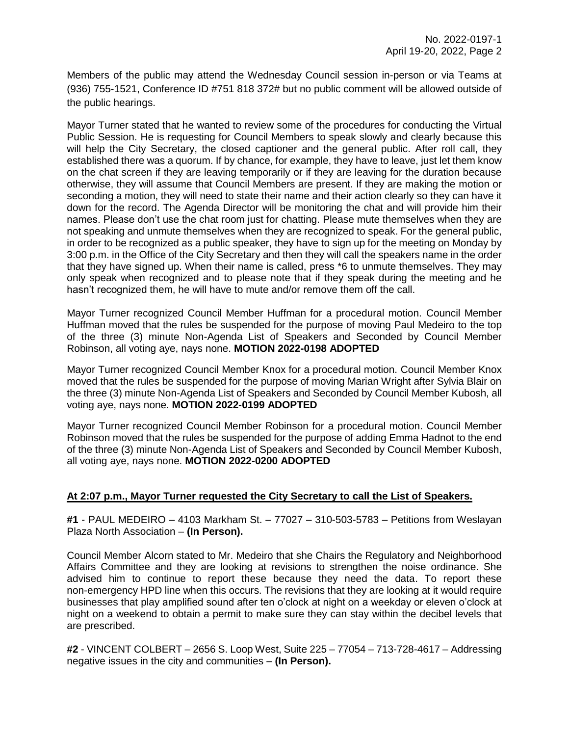Members of the public may attend the Wednesday Council session in-person or via Teams at (936) 755-1521, Conference ID #751 818 372# but no public comment will be allowed outside of the public hearings.

Mayor Turner stated that he wanted to review some of the procedures for conducting the Virtual Public Session. He is requesting for Council Members to speak slowly and clearly because this will help the City Secretary, the closed captioner and the general public. After roll call, they established there was a quorum. If by chance, for example, they have to leave, just let them know on the chat screen if they are leaving temporarily or if they are leaving for the duration because otherwise, they will assume that Council Members are present. If they are making the motion or seconding a motion, they will need to state their name and their action clearly so they can have it down for the record. The Agenda Director will be monitoring the chat and will provide him their names. Please don't use the chat room just for chatting. Please mute themselves when they are not speaking and unmute themselves when they are recognized to speak. For the general public, in order to be recognized as a public speaker, they have to sign up for the meeting on Monday by 3:00 p.m. in the Office of the City Secretary and then they will call the speakers name in the order that they have signed up. When their name is called, press \*6 to unmute themselves. They may only speak when recognized and to please note that if they speak during the meeting and he hasn't recognized them, he will have to mute and/or remove them off the call.

Mayor Turner recognized Council Member Huffman for a procedural motion. Council Member Huffman moved that the rules be suspended for the purpose of moving Paul Medeiro to the top of the three (3) minute Non-Agenda List of Speakers and Seconded by Council Member Robinson, all voting aye, nays none. **MOTION 2022-0198 ADOPTED**

Mayor Turner recognized Council Member Knox for a procedural motion. Council Member Knox moved that the rules be suspended for the purpose of moving Marian Wright after Sylvia Blair on the three (3) minute Non-Agenda List of Speakers and Seconded by Council Member Kubosh, all voting aye, nays none. **MOTION 2022-0199 ADOPTED** 

Mayor Turner recognized Council Member Robinson for a procedural motion. Council Member Robinson moved that the rules be suspended for the purpose of adding Emma Hadnot to the end of the three (3) minute Non-Agenda List of Speakers and Seconded by Council Member Kubosh, all voting aye, nays none. **MOTION 2022-0200 ADOPTED**

# **At 2:07 p.m., Mayor Turner requested the City Secretary to call the List of Speakers.**

**#1** - PAUL MEDEIRO – 4103 Markham St. – 77027 – 310-503-5783 – Petitions from Weslayan Plaza North Association – **(In Person).**

Council Member Alcorn stated to Mr. Medeiro that she Chairs the Regulatory and Neighborhood Affairs Committee and they are looking at revisions to strengthen the noise ordinance. She advised him to continue to report these because they need the data. To report these non-emergency HPD line when this occurs. The revisions that they are looking at it would require businesses that play amplified sound after ten o'clock at night on a weekday or eleven o'clock at night on a weekend to obtain a permit to make sure they can stay within the decibel levels that are prescribed.

**#2** - VINCENT COLBERT – 2656 S. Loop West, Suite 225 – 77054 – 713-728-4617 – Addressing negative issues in the city and communities – **(In Person).**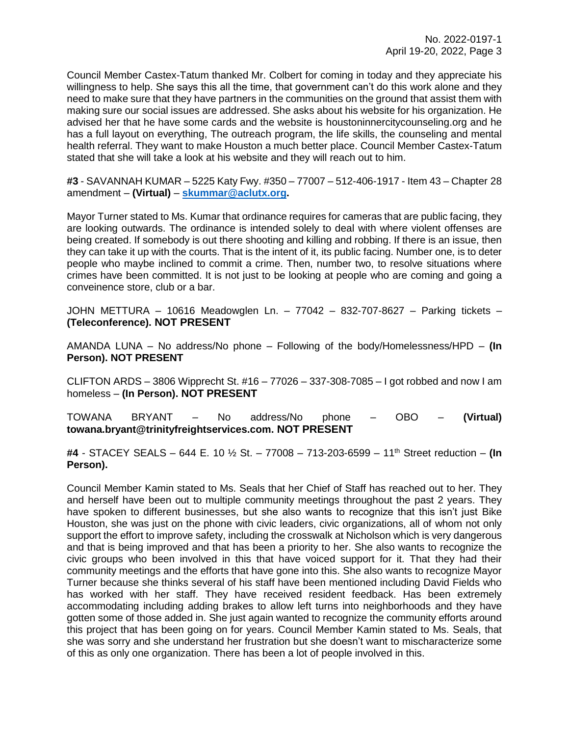Council Member Castex-Tatum thanked Mr. Colbert for coming in today and they appreciate his willingness to help. She says this all the time, that government can't do this work alone and they need to make sure that they have partners in the communities on the ground that assist them with making sure our social issues are addressed. She asks about his website for his organization. He advised her that he have some cards and the website is houstoninnercitycounseling.org and he has a full layout on everything, The outreach program, the life skills, the counseling and mental health referral. They want to make Houston a much better place. Council Member Castex-Tatum stated that she will take a look at his website and they will reach out to him.

**#3** - SAVANNAH KUMAR – 5225 Katy Fwy. #350 – 77007 – 512-406-1917 - Item 43 – Chapter 28 amendment – **(Virtual)** – **[skummar@aclutx.org.](mailto:skummar@aclutx.org)**

Mayor Turner stated to Ms. Kumar that ordinance requires for cameras that are public facing, they are looking outwards. The ordinance is intended solely to deal with where violent offenses are being created. If somebody is out there shooting and killing and robbing. If there is an issue, then they can take it up with the courts. That is the intent of it, its public facing. Number one, is to deter people who maybe inclined to commit a crime. Then, number two, to resolve situations where crimes have been committed. It is not just to be looking at people who are coming and going a conveinence store, club or a bar.

JOHN METTURA – 10616 Meadowglen Ln. – 77042 – 832-707-8627 – Parking tickets – **(Teleconference). NOT PRESENT**

AMANDA LUNA – No address/No phone – Following of the body/Homelessness/HPD – **(In Person). NOT PRESENT**

CLIFTON ARDS – 3806 Wipprecht St. #16 – 77026 – 337-308-7085 – I got robbed and now I am homeless – **(In Person). NOT PRESENT**

TOWANA BRYANT – No address/No phone – OBO – **(Virtual) towana.bryant@trinityfreightservices.com. NOT PRESENT**

**#4** - STACEY SEALS – 644 E. 10 ½ St. – 77008 – 713-203-6599 – 11th Street reduction – **(In Person).**

Council Member Kamin stated to Ms. Seals that her Chief of Staff has reached out to her. They and herself have been out to multiple community meetings throughout the past 2 years. They have spoken to different businesses, but she also wants to recognize that this isn't just Bike Houston, she was just on the phone with civic leaders, civic organizations, all of whom not only support the effort to improve safety, including the crosswalk at Nicholson which is very dangerous and that is being improved and that has been a priority to her. She also wants to recognize the civic groups who been involved in this that have voiced support for it. That they had their community meetings and the efforts that have gone into this. She also wants to recognize Mayor Turner because she thinks several of his staff have been mentioned including David Fields who has worked with her staff. They have received resident feedback. Has been extremely accommodating including adding brakes to allow left turns into neighborhoods and they have gotten some of those added in. She just again wanted to recognize the community efforts around this project that has been going on for years. Council Member Kamin stated to Ms. Seals, that she was sorry and she understand her frustration but she doesn't want to mischaracterize some of this as only one organization. There has been a lot of people involved in this.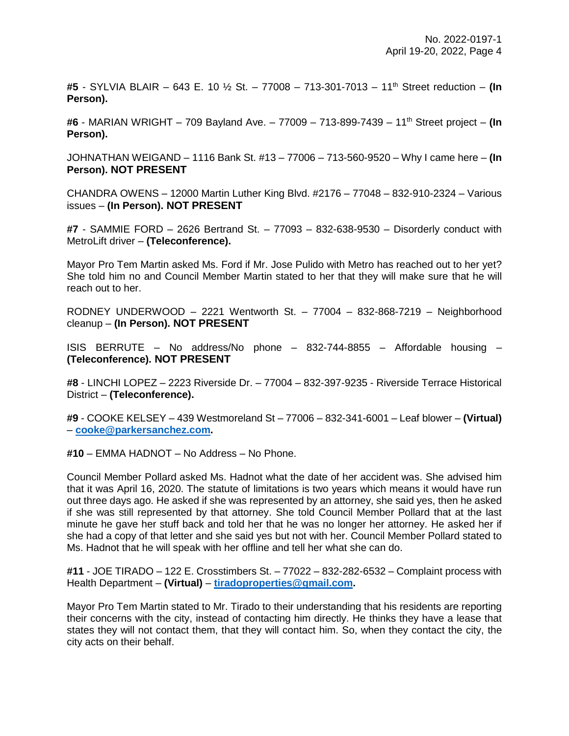**#5** - SYLVIA BLAIR – 643 E. 10 ½ St. – 77008 – 713-301-7013 – 11th Street reduction – **(In Person).**

**#6** - MARIAN WRIGHT – 709 Bayland Ave. – 77009 – 713-899-7439 – 11th Street project – **(In Person).**

JOHNATHAN WEIGAND – 1116 Bank St. #13 – 77006 – 713-560-9520 – Why I came here – **(In Person). NOT PRESENT**

CHANDRA OWENS – 12000 Martin Luther King Blvd. #2176 – 77048 – 832-910-2324 – Various issues – **(In Person). NOT PRESENT**

**#7** - SAMMIE FORD – 2626 Bertrand St. – 77093 – 832-638-9530 – Disorderly conduct with MetroLift driver – **(Teleconference).**

Mayor Pro Tem Martin asked Ms. Ford if Mr. Jose Pulido with Metro has reached out to her yet? She told him no and Council Member Martin stated to her that they will make sure that he will reach out to her.

RODNEY UNDERWOOD – 2221 Wentworth St. – 77004 – 832-868-7219 – Neighborhood cleanup – **(In Person). NOT PRESENT**

ISIS BERRUTE – No address/No phone – 832-744-8855 – Affordable housing – **(Teleconference). NOT PRESENT**

**#8** - LINCHI LOPEZ – 2223 Riverside Dr. – 77004 – 832-397-9235 - Riverside Terrace Historical District – **(Teleconference).**

**#9** - COOKE KELSEY – 439 Westmoreland St – 77006 – 832-341-6001 – Leaf blower – **(Virtual)** – **[cooke@parkersanchez.com.](mailto:cooke@parkersanchez.com)**

**#10** – EMMA HADNOT – No Address – No Phone.

Council Member Pollard asked Ms. Hadnot what the date of her accident was. She advised him that it was April 16, 2020. The statute of limitations is two years which means it would have run out three days ago. He asked if she was represented by an attorney, she said yes, then he asked if she was still represented by that attorney. She told Council Member Pollard that at the last minute he gave her stuff back and told her that he was no longer her attorney. He asked her if she had a copy of that letter and she said yes but not with her. Council Member Pollard stated to Ms. Hadnot that he will speak with her offline and tell her what she can do.

**#11** - JOE TIRADO – 122 E. Crosstimbers St. – 77022 – 832-282-6532 – Complaint process with Health Department – **(Virtual)** – **[tiradoproperties@gmail.com.](mailto:tiradoproperties@gmail.com)**

Mayor Pro Tem Martin stated to Mr. Tirado to their understanding that his residents are reporting their concerns with the city, instead of contacting him directly. He thinks they have a lease that states they will not contact them, that they will contact him. So, when they contact the city, the city acts on their behalf.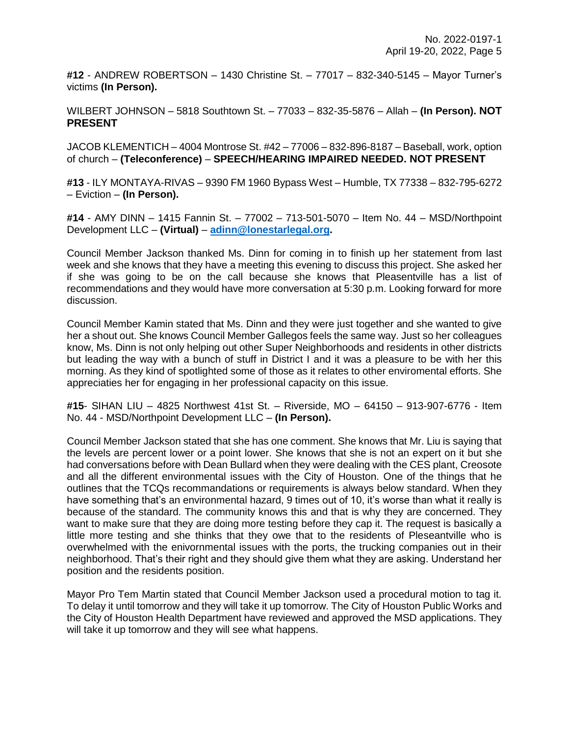**#12** - ANDREW ROBERTSON – 1430 Christine St. – 77017 – 832-340-5145 – Mayor Turner's victims **(In Person).**

WILBERT JOHNSON – 5818 Southtown St. – 77033 – 832-35-5876 – Allah – **(In Person). NOT PRESENT**

JACOB KLEMENTICH – 4004 Montrose St. #42 – 77006 – 832-896-8187 – Baseball, work, option of church – **(Teleconference)** – **SPEECH/HEARING IMPAIRED NEEDED. NOT PRESENT**

**#13** - ILY MONTAYA-RIVAS – 9390 FM 1960 Bypass West – Humble, TX 77338 – 832-795-6272 – Eviction – **(In Person).**

**#14** - AMY DINN – 1415 Fannin St. – 77002 – 713-501-5070 – Item No. 44 – MSD/Northpoint Development LLC – **(Virtual)** – **[adinn@lonestarlegal.org.](mailto:adinn@lonestarlegal.org)**

Council Member Jackson thanked Ms. Dinn for coming in to finish up her statement from last week and she knows that they have a meeting this evening to discuss this project. She asked her if she was going to be on the call because she knows that Pleasentville has a list of recommendations and they would have more conversation at 5:30 p.m. Looking forward for more discussion.

Council Member Kamin stated that Ms. Dinn and they were just together and she wanted to give her a shout out. She knows Council Member Gallegos feels the same way. Just so her colleagues know, Ms. Dinn is not only helping out other Super Neighborhoods and residents in other districts but leading the way with a bunch of stuff in District I and it was a pleasure to be with her this morning. As they kind of spotlighted some of those as it relates to other enviromental efforts. She appreciaties her for engaging in her professional capacity on this issue.

**#15**- SIHAN LIU – 4825 Northwest 41st St. – Riverside, MO – 64150 – 913-907-6776 - Item No. 44 - MSD/Northpoint Development LLC – **(In Person).**

Council Member Jackson stated that she has one comment. She knows that Mr. Liu is saying that the levels are percent lower or a point lower. She knows that she is not an expert on it but she had conversations before with Dean Bullard when they were dealing with the CES plant, Creosote and all the different environmental issues with the City of Houston. One of the things that he outlines that the TCQs recommandations or requirements is always below standard. When they have something that's an environmental hazard, 9 times out of 10, it's worse than what it really is because of the standard. The community knows this and that is why they are concerned. They want to make sure that they are doing more testing before they cap it. The request is basically a little more testing and she thinks that they owe that to the residents of Pleseantville who is overwhelmed with the enivornmental issues with the ports, the trucking companies out in their neighborhood. That's their right and they should give them what they are asking. Understand her position and the residents position.

Mayor Pro Tem Martin stated that Council Member Jackson used a procedural motion to tag it. To delay it until tomorrow and they will take it up tomorrow. The City of Houston Public Works and the City of Houston Health Department have reviewed and approved the MSD applications. They will take it up tomorrow and they will see what happens.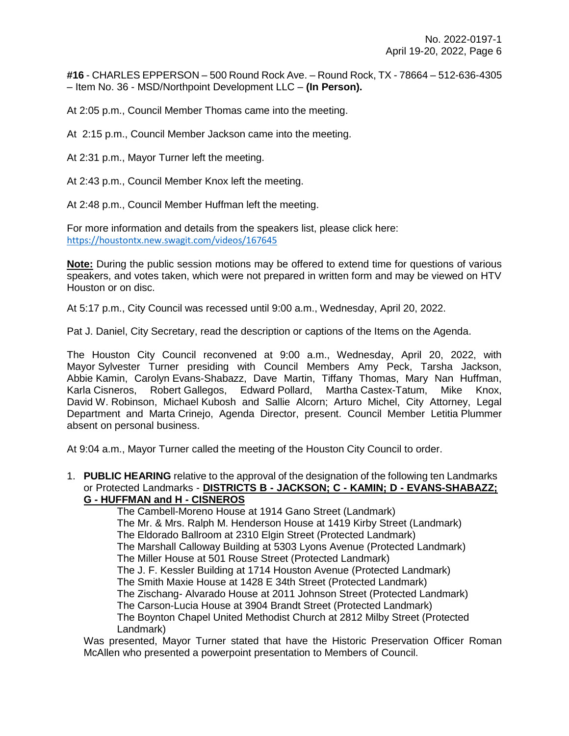**#16** - CHARLES EPPERSON – 500 Round Rock Ave. – Round Rock, TX - 78664 – 512-636-4305 – Item No. 36 - MSD/Northpoint Development LLC – **(In Person).**

At 2:05 p.m., Council Member Thomas came into the meeting.

At 2:15 p.m., Council Member Jackson came into the meeting.

At 2:31 p.m., Mayor Turner left the meeting.

At 2:43 p.m., Council Member Knox left the meeting.

At 2:48 p.m., Council Member Huffman left the meeting.

For more information and details from the speakers list, please click here: <https://houstontx.new.swagit.com/videos/167645>

**Note:** During the public session motions may be offered to extend time for questions of various speakers, and votes taken, which were not prepared in written form and may be viewed on HTV Houston or on disc.

At 5:17 p.m., City Council was recessed until 9:00 a.m., Wednesday, April 20, 2022.

Pat J. Daniel, City Secretary, read the description or captions of the Items on the Agenda.

The Houston City Council reconvened at 9:00 a.m., Wednesday, April 20, 2022, with Mayor Sylvester Turner presiding with Council Members Amy Peck, Tarsha Jackson, Abbie Kamin, Carolyn Evans-Shabazz, Dave Martin, Tiffany Thomas, Mary Nan Huffman, Karla Cisneros, Robert Gallegos, Edward Pollard, Martha Castex-Tatum, Mike Knox, David W. Robinson, Michael Kubosh and Sallie Alcorn; Arturo Michel, City Attorney, Legal Department and Marta Crinejo, Agenda Director, present. Council Member Letitia Plummer absent on personal business.

At 9:04 a.m., Mayor Turner called the meeting of the Houston City Council to order.

1. **PUBLIC HEARING** relative to the approval of the designation of the following ten Landmarks or Protected Landmarks - **DISTRICTS B - JACKSON; C - KAMIN; D - EVANS-SHABAZZ; G - HUFFMAN and H - CISNEROS**

> The Cambell-Moreno House at 1914 Gano Street (Landmark) The Mr. & Mrs. Ralph M. Henderson House at 1419 Kirby Street (Landmark) The Eldorado Ballroom at 2310 Elgin Street (Protected Landmark) The Marshall Calloway Building at 5303 Lyons Avenue (Protected Landmark) The Miller House at 501 Rouse Street (Protected Landmark) The J. F. Kessler Building at 1714 Houston Avenue (Protected Landmark) The Smith Maxie House at 1428 E 34th Street (Protected Landmark) The Zischang- Alvarado House at 2011 Johnson Street (Protected Landmark) The Carson-Lucia House at 3904 Brandt Street (Protected Landmark) The Boynton Chapel United Methodist Church at 2812 Milby Street (Protected Landmark)

Was presented, Mayor Turner stated that have the Historic Preservation Officer Roman McAllen who presented a powerpoint presentation to Members of Council.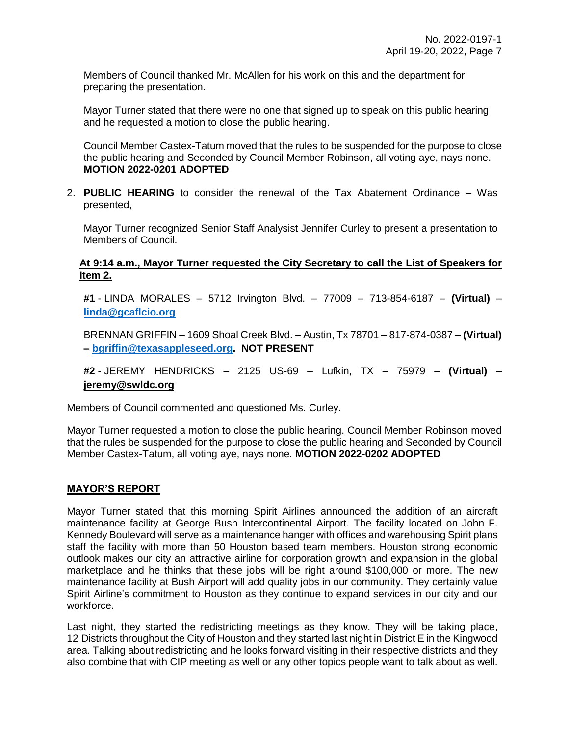Members of Council thanked Mr. McAllen for his work on this and the department for preparing the presentation.

Mayor Turner stated that there were no one that signed up to speak on this public hearing and he requested a motion to close the public hearing.

Council Member Castex-Tatum moved that the rules to be suspended for the purpose to close the public hearing and Seconded by Council Member Robinson, all voting aye, nays none. **MOTION 2022-0201 ADOPTED** 

2. **PUBLIC HEARING** to consider the renewal of the Tax Abatement Ordinance – Was presented,

Mayor Turner recognized Senior Staff Analysist Jennifer Curley to present a presentation to Members of Council.

## **At 9:14 a.m., Mayor Turner requested the City Secretary to call the List of Speakers for Item 2.**

**#1** - LINDA MORALES – 5712 Irvington Blvd. – 77009 – 713-854-6187 – **(Virtual)** – **[linda@gcaflcio.org](mailto:linda@gcaflcio.org)**

BRENNAN GRIFFIN – 1609 Shoal Creek Blvd. – Austin, Tx 78701 – 817-874-0387 – **(Virtual) – [bgriffin@texasappleseed.org.](mailto:bgriffin@texasappleseed.org) NOT PRESENT**

**#2** - JEREMY HENDRICKS – 2125 US-69 – Lufkin, TX – 75979 – **(Virtual)** – **jeremy@swldc.org**

Members of Council commented and questioned Ms. Curley.

Mayor Turner requested a motion to close the public hearing. Council Member Robinson moved that the rules be suspended for the purpose to close the public hearing and Seconded by Council Member Castex-Tatum, all voting aye, nays none. **MOTION 2022-0202 ADOPTED** 

# **MAYOR'S REPORT**

Mayor Turner stated that this morning Spirit Airlines announced the addition of an aircraft maintenance facility at George Bush Intercontinental Airport. The facility located on John F. Kennedy Boulevard will serve as a maintenance hanger with offices and warehousing Spirit plans staff the facility with more than 50 Houston based team members. Houston strong economic outlook makes our city an attractive airline for corporation growth and expansion in the global marketplace and he thinks that these jobs will be right around \$100,000 or more. The new maintenance facility at Bush Airport will add quality jobs in our community. They certainly value Spirit Airline's commitment to Houston as they continue to expand services in our city and our workforce.

Last night, they started the redistricting meetings as they know. They will be taking place, 12 Districts throughout the City of Houston and they started last night in District E in the Kingwood area. Talking about redistricting and he looks forward visiting in their respective districts and they also combine that with CIP meeting as well or any other topics people want to talk about as well.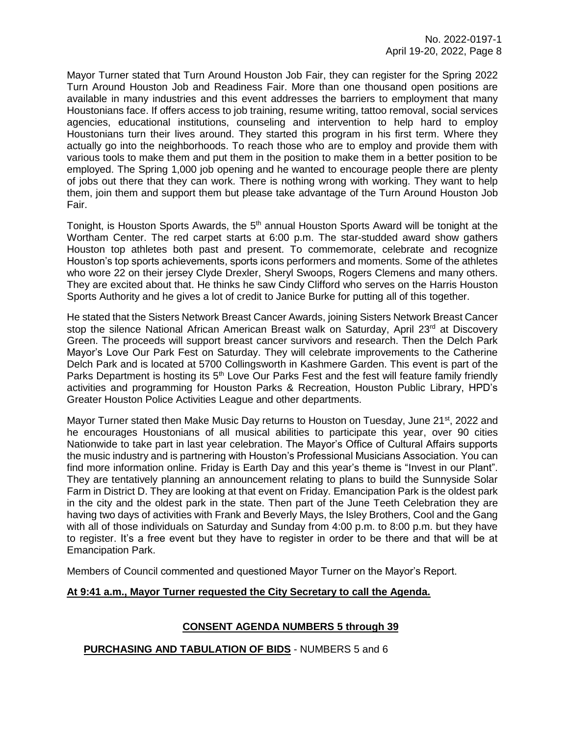Mayor Turner stated that Turn Around Houston Job Fair, they can register for the Spring 2022 Turn Around Houston Job and Readiness Fair. More than one thousand open positions are available in many industries and this event addresses the barriers to employment that many Houstonians face. If offers access to job training, resume writing, tattoo removal, social services agencies, educational institutions, counseling and intervention to help hard to employ Houstonians turn their lives around. They started this program in his first term. Where they actually go into the neighborhoods. To reach those who are to employ and provide them with various tools to make them and put them in the position to make them in a better position to be employed. The Spring 1,000 job opening and he wanted to encourage people there are plenty of jobs out there that they can work. There is nothing wrong with working. They want to help them, join them and support them but please take advantage of the Turn Around Houston Job Fair.

Tonight, is Houston Sports Awards, the  $5<sup>th</sup>$  annual Houston Sports Award will be tonight at the Wortham Center. The red carpet starts at 6:00 p.m. The star-studded award show gathers Houston top athletes both past and present. To commemorate, celebrate and recognize Houston's top sports achievements, sports icons performers and moments. Some of the athletes who wore 22 on their jersey Clyde Drexler, Sheryl Swoops, Rogers Clemens and many others. They are excited about that. He thinks he saw Cindy Clifford who serves on the Harris Houston Sports Authority and he gives a lot of credit to Janice Burke for putting all of this together.

He stated that the Sisters Network Breast Cancer Awards, joining Sisters Network Breast Cancer stop the silence National African American Breast walk on Saturday, April 23<sup>rd</sup> at Discovery Green. The proceeds will support breast cancer survivors and research. Then the Delch Park Mayor's Love Our Park Fest on Saturday. They will celebrate improvements to the Catherine Delch Park and is located at 5700 Collingsworth in Kashmere Garden. This event is part of the Parks Department is hosting its 5<sup>th</sup> Love Our Parks Fest and the fest will feature family friendly activities and programming for Houston Parks & Recreation, Houston Public Library, HPD's Greater Houston Police Activities League and other departments.

Mayor Turner stated then Make Music Day returns to Houston on Tuesday, June 21<sup>st</sup>, 2022 and he encourages Houstonians of all musical abilities to participate this year, over 90 cities Nationwide to take part in last year celebration. The Mayor's Office of Cultural Affairs supports the music industry and is partnering with Houston's Professional Musicians Association. You can find more information online. Friday is Earth Day and this year's theme is "Invest in our Plant". They are tentatively planning an announcement relating to plans to build the Sunnyside Solar Farm in District D. They are looking at that event on Friday. Emancipation Park is the oldest park in the city and the oldest park in the state. Then part of the June Teeth Celebration they are having two days of activities with Frank and Beverly Mays, the Isley Brothers, Cool and the Gang with all of those individuals on Saturday and Sunday from 4:00 p.m. to 8:00 p.m. but they have to register. It's a free event but they have to register in order to be there and that will be at Emancipation Park.

Members of Council commented and questioned Mayor Turner on the Mayor's Report.

## **At 9:41 a.m., Mayor Turner requested the City Secretary to call the Agenda.**

## **CONSENT AGENDA NUMBERS 5 through 39**

#### **PURCHASING AND TABULATION OF BIDS** - NUMBERS 5 and 6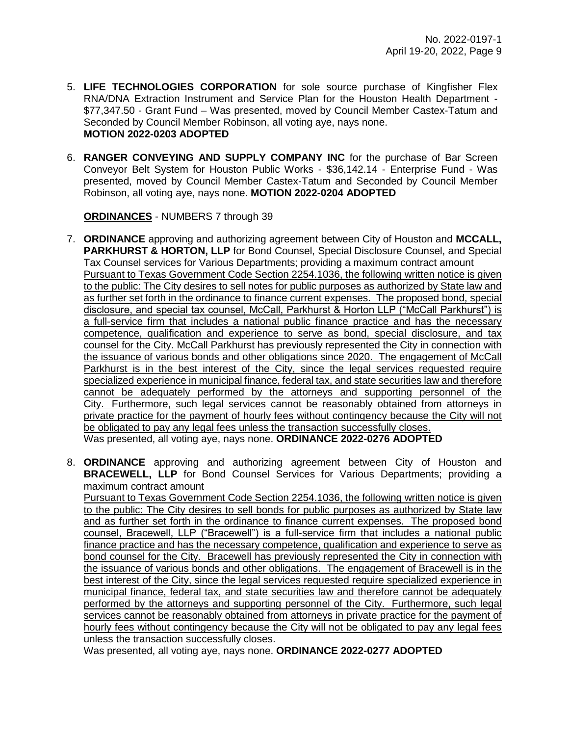- 5. **LIFE TECHNOLOGIES CORPORATION** for sole source purchase of Kingfisher Flex RNA/DNA Extraction Instrument and Service Plan for the Houston Health Department - \$77,347.50 - Grant Fund – Was presented, moved by Council Member Castex-Tatum and Seconded by Council Member Robinson, all voting aye, nays none. **MOTION 2022-0203 ADOPTED**
- 6. **RANGER CONVEYING AND SUPPLY COMPANY INC** for the purchase of Bar Screen Conveyor Belt System for Houston Public Works - \$36,142.14 - Enterprise Fund - Was presented, moved by Council Member Castex-Tatum and Seconded by Council Member Robinson, all voting aye, nays none. **MOTION 2022-0204 ADOPTED**

**ORDINANCES** - NUMBERS 7 through 39

- 7. **ORDINANCE** approving and authorizing agreement between City of Houston and **MCCALL, PARKHURST & HORTON, LLP** for Bond Counsel, Special Disclosure Counsel, and Special Tax Counsel services for Various Departments; providing a maximum contract amount Pursuant to Texas Government Code Section 2254.1036, the following written notice is given to the public: The City desires to sell notes for public purposes as authorized by State law and as further set forth in the ordinance to finance current expenses. The proposed bond, special disclosure, and special tax counsel, McCall, Parkhurst & Horton LLP ("McCall Parkhurst") is a full-service firm that includes a national public finance practice and has the necessary competence, qualification and experience to serve as bond, special disclosure, and tax counsel for the City. McCall Parkhurst has previously represented the City in connection with the issuance of various bonds and other obligations since 2020. The engagement of McCall Parkhurst is in the best interest of the City, since the legal services requested require specialized experience in municipal finance, federal tax, and state securities law and therefore cannot be adequately performed by the attorneys and supporting personnel of the City. Furthermore, such legal services cannot be reasonably obtained from attorneys in private practice for the payment of hourly fees without contingency because the City will not be obligated to pay any legal fees unless the transaction successfully closes. Was presented, all voting aye, nays none. **ORDINANCE 2022-0276 ADOPTED**
- 8. **ORDINANCE** approving and authorizing agreement between City of Houston and **BRACEWELL, LLP** for Bond Counsel Services for Various Departments; providing a maximum contract amount

Pursuant to Texas Government Code Section 2254.1036, the following written notice is given to the public: The City desires to sell bonds for public purposes as authorized by State law and as further set forth in the ordinance to finance current expenses. The proposed bond counsel, Bracewell, LLP ("Bracewell") is a full-service firm that includes a national public finance practice and has the necessary competence, qualification and experience to serve as bond counsel for the City. Bracewell has previously represented the City in connection with the issuance of various bonds and other obligations. The engagement of Bracewell is in the best interest of the City, since the legal services requested require specialized experience in municipal finance, federal tax, and state securities law and therefore cannot be adequately performed by the attorneys and supporting personnel of the City. Furthermore, such legal services cannot be reasonably obtained from attorneys in private practice for the payment of hourly fees without contingency because the City will not be obligated to pay any legal fees unless the transaction successfully closes.

Was presented, all voting aye, nays none. **ORDINANCE 2022-0277 ADOPTED**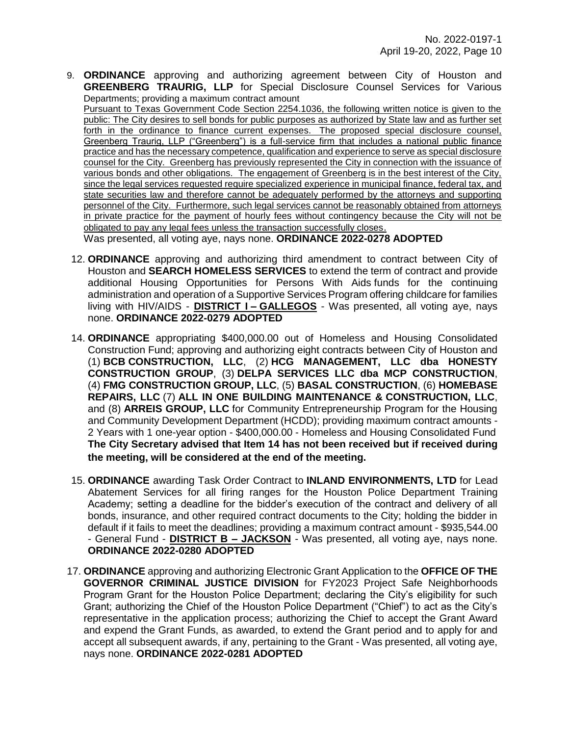9. **ORDINANCE** approving and authorizing agreement between City of Houston and **GREENBERG TRAURIG, LLP** for Special Disclosure Counsel Services for Various Departments; providing a maximum contract amount

Pursuant to Texas Government Code Section 2254.1036, the following written notice is given to the public: The City desires to sell bonds for public purposes as authorized by State law and as further set forth in the ordinance to finance current expenses. The proposed special disclosure counsel, Greenberg Traurig, LLP ("Greenberg") is a full-service firm that includes a national public finance practice and has the necessary competence, qualification and experience to serve as special disclosure counsel for the City. Greenberg has previously represented the City in connection with the issuance of various bonds and other obligations. The engagement of Greenberg is in the best interest of the City, since the legal services requested require specialized experience in municipal finance, federal tax, and state securities law and therefore cannot be adequately performed by the attorneys and supporting personnel of the City. Furthermore, such legal services cannot be reasonably obtained from attorneys in private practice for the payment of hourly fees without contingency because the City will not be obligated to pay any legal fees unless the transaction successfully closes. Was presented, all voting aye, nays none. **ORDINANCE 2022-0278 ADOPTED** 

- 12. **ORDINANCE** approving and authorizing third amendment to contract between City of Houston and **SEARCH HOMELESS SERVICES** to extend the term of contract and provide additional Housing Opportunities for Persons With Aids funds for the continuing administration and operation of a Supportive Services Program offering childcare for families living with HIV/AIDS - **DISTRICT I – GALLEGOS** - Was presented, all voting aye, nays none. **ORDINANCE 2022-0279 ADOPTED**
- 14. **ORDINANCE** appropriating \$400,000.00 out of Homeless and Housing Consolidated Construction Fund; approving and authorizing eight contracts between City of Houston and (1) **BCB CONSTRUCTION, LLC**, (2) **HCG MANAGEMENT, LLC dba HONESTY CONSTRUCTION GROUP**, (3) **DELPA SERVICES LLC dba MCP CONSTRUCTION**, (4) **FMG CONSTRUCTION GROUP, LLC**, (5) **BASAL CONSTRUCTION**, (6) **HOMEBASE REPAIRS, LLC** (7) **ALL IN ONE BUILDING MAINTENANCE & CONSTRUCTION, LLC**, and (8) **ARREIS GROUP, LLC** for Community Entrepreneurship Program for the Housing and Community Development Department (HCDD); providing maximum contract amounts - 2 Years with 1 one-year option - \$400,000.00 - Homeless and Housing Consolidated Fund **The City Secretary advised that Item 14 has not been received but if received during the meeting, will be considered at the end of the meeting.**
- 15. **ORDINANCE** awarding Task Order Contract to **INLAND ENVIRONMENTS, LTD** for Lead Abatement Services for all firing ranges for the Houston Police Department Training Academy; setting a deadline for the bidder's execution of the contract and delivery of all bonds, insurance, and other required contract documents to the City; holding the bidder in default if it fails to meet the deadlines; providing a maximum contract amount - \$935,544.00 - General Fund - **DISTRICT B – JACKSON** - Was presented, all voting aye, nays none. **ORDINANCE 2022-0280 ADOPTED**
- 17. **ORDINANCE** approving and authorizing Electronic Grant Application to the **OFFICE OF THE GOVERNOR CRIMINAL JUSTICE DIVISION** for FY2023 Project Safe Neighborhoods Program Grant for the Houston Police Department; declaring the City's eligibility for such Grant; authorizing the Chief of the Houston Police Department ("Chief") to act as the City's representative in the application process; authorizing the Chief to accept the Grant Award and expend the Grant Funds, as awarded, to extend the Grant period and to apply for and accept all subsequent awards, if any, pertaining to the Grant - Was presented, all voting aye, nays none. **ORDINANCE 2022-0281 ADOPTED**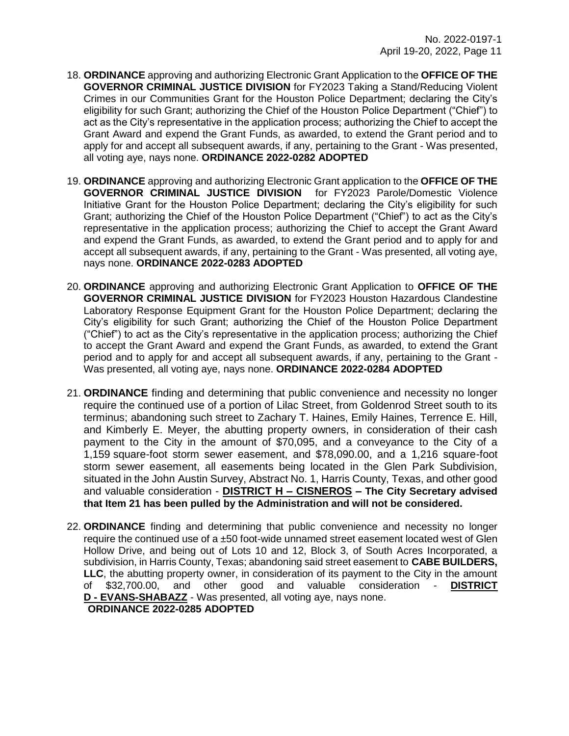- 18. **ORDINANCE** approving and authorizing Electronic Grant Application to the **OFFICE OF THE GOVERNOR CRIMINAL JUSTICE DIVISION** for FY2023 Taking a Stand/Reducing Violent Crimes in our Communities Grant for the Houston Police Department; declaring the City's eligibility for such Grant; authorizing the Chief of the Houston Police Department ("Chief") to act as the City's representative in the application process; authorizing the Chief to accept the Grant Award and expend the Grant Funds, as awarded, to extend the Grant period and to apply for and accept all subsequent awards, if any, pertaining to the Grant - Was presented, all voting aye, nays none. **ORDINANCE 2022-0282 ADOPTED**
- 19. **ORDINANCE** approving and authorizing Electronic Grant application to the **OFFICE OF THE GOVERNOR CRIMINAL JUSTICE DIVISION** for FY2023 Parole/Domestic Violence Initiative Grant for the Houston Police Department; declaring the City's eligibility for such Grant; authorizing the Chief of the Houston Police Department ("Chief") to act as the City's representative in the application process; authorizing the Chief to accept the Grant Award and expend the Grant Funds, as awarded, to extend the Grant period and to apply for and accept all subsequent awards, if any, pertaining to the Grant - Was presented, all voting aye, nays none. **ORDINANCE 2022-0283 ADOPTED**
- 20. **ORDINANCE** approving and authorizing Electronic Grant Application to **OFFICE OF THE GOVERNOR CRIMINAL JUSTICE DIVISION** for FY2023 Houston Hazardous Clandestine Laboratory Response Equipment Grant for the Houston Police Department; declaring the City's eligibility for such Grant; authorizing the Chief of the Houston Police Department ("Chief") to act as the City's representative in the application process; authorizing the Chief to accept the Grant Award and expend the Grant Funds, as awarded, to extend the Grant period and to apply for and accept all subsequent awards, if any, pertaining to the Grant - Was presented, all voting aye, nays none. **ORDINANCE 2022-0284 ADOPTED**
- 21. **ORDINANCE** finding and determining that public convenience and necessity no longer require the continued use of a portion of Lilac Street, from Goldenrod Street south to its terminus; abandoning such street to Zachary T. Haines, Emily Haines, Terrence E. Hill, and Kimberly E. Meyer, the abutting property owners, in consideration of their cash payment to the City in the amount of \$70,095, and a conveyance to the City of a 1,159 square-foot storm sewer easement, and \$78,090.00, and a 1,216 square-foot storm sewer easement, all easements being located in the Glen Park Subdivision, situated in the John Austin Survey, Abstract No. 1, Harris County, Texas, and other good and valuable consideration - **DISTRICT H – CISNEROS – The City Secretary advised that Item 21 has been pulled by the Administration and will not be considered.**
- 22. **ORDINANCE** finding and determining that public convenience and necessity no longer require the continued use of a  $±50$  foot-wide unnamed street easement located west of Glen Hollow Drive, and being out of Lots 10 and 12, Block 3, of South Acres Incorporated, a subdivision, in Harris County, Texas; abandoning said street easement to **CABE BUILDERS, LLC**, the abutting property owner, in consideration of its payment to the City in the amount of \$32,700.00, and other good and valuable consideration - **DISTRICT D - EVANS-SHABAZZ** - Was presented, all voting aye, nays none. **ORDINANCE 2022-0285 ADOPTED**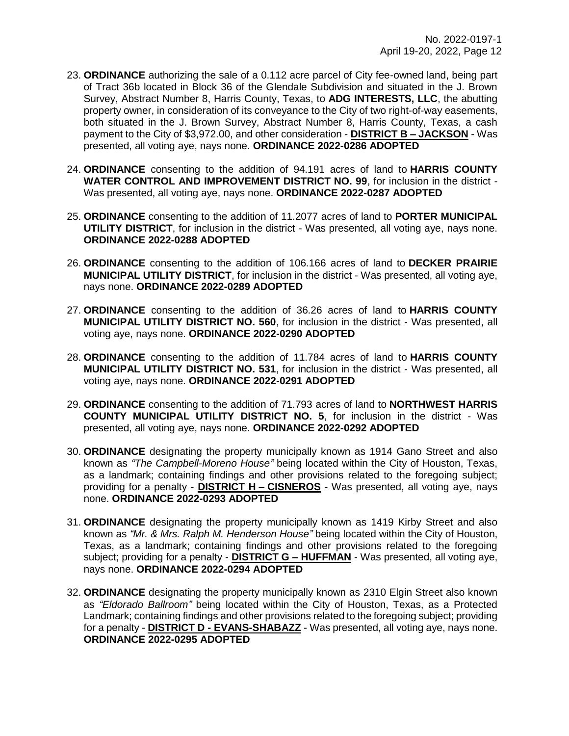- 23. **ORDINANCE** authorizing the sale of a 0.112 acre parcel of City fee-owned land, being part of Tract 36b located in Block 36 of the Glendale Subdivision and situated in the J. Brown Survey, Abstract Number 8, Harris County, Texas, to **ADG INTERESTS, LLC**, the abutting property owner, in consideration of its conveyance to the City of two right-of-way easements, both situated in the J. Brown Survey, Abstract Number 8, Harris County, Texas, a cash payment to the City of \$3,972.00, and other consideration - **DISTRICT B – JACKSON** - Was presented, all voting aye, nays none. **ORDINANCE 2022-0286 ADOPTED**
- 24. **ORDINANCE** consenting to the addition of 94.191 acres of land to **HARRIS COUNTY WATER CONTROL AND IMPROVEMENT DISTRICT NO. 99**, for inclusion in the district - Was presented, all voting aye, nays none. **ORDINANCE 2022-0287 ADOPTED**
- 25. **ORDINANCE** consenting to the addition of 11.2077 acres of land to **PORTER MUNICIPAL UTILITY DISTRICT**, for inclusion in the district - Was presented, all voting aye, nays none. **ORDINANCE 2022-0288 ADOPTED**
- 26. **ORDINANCE** consenting to the addition of 106.166 acres of land to **DECKER PRAIRIE MUNICIPAL UTILITY DISTRICT**, for inclusion in the district - Was presented, all voting aye, nays none. **ORDINANCE 2022-0289 ADOPTED**
- 27. **ORDINANCE** consenting to the addition of 36.26 acres of land to **HARRIS COUNTY MUNICIPAL UTILITY DISTRICT NO. 560**, for inclusion in the district - Was presented, all voting aye, nays none. **ORDINANCE 2022-0290 ADOPTED**
- 28. **ORDINANCE** consenting to the addition of 11.784 acres of land to **HARRIS COUNTY MUNICIPAL UTILITY DISTRICT NO. 531**, for inclusion in the district - Was presented, all voting aye, nays none. **ORDINANCE 2022-0291 ADOPTED**
- 29. **ORDINANCE** consenting to the addition of 71.793 acres of land to **NORTHWEST HARRIS COUNTY MUNICIPAL UTILITY DISTRICT NO. 5**, for inclusion in the district - Was presented, all voting aye, nays none. **ORDINANCE 2022-0292 ADOPTED**
- 30. **ORDINANCE** designating the property municipally known as 1914 Gano Street and also known as *"The Campbell-Moreno House"* being located within the City of Houston, Texas, as a landmark; containing findings and other provisions related to the foregoing subject; providing for a penalty - **DISTRICT H – CISNEROS** - Was presented, all voting aye, nays none. **ORDINANCE 2022-0293 ADOPTED**
- 31. **ORDINANCE** designating the property municipally known as 1419 Kirby Street and also known as *"Mr. & Mrs. Ralph M. Henderson House"* being located within the City of Houston, Texas, as a landmark; containing findings and other provisions related to the foregoing subject; providing for a penalty - **DISTRICT G – HUFFMAN** - Was presented, all voting aye, nays none. **ORDINANCE 2022-0294 ADOPTED**
- 32. **ORDINANCE** designating the property municipally known as 2310 Elgin Street also known as *"Eldorado Ballroom"* being located within the City of Houston, Texas, as a Protected Landmark; containing findings and other provisions related to the foregoing subject; providing for a penalty - **DISTRICT D - EVANS-SHABAZZ** - Was presented, all voting aye, nays none. **ORDINANCE 2022-0295 ADOPTED**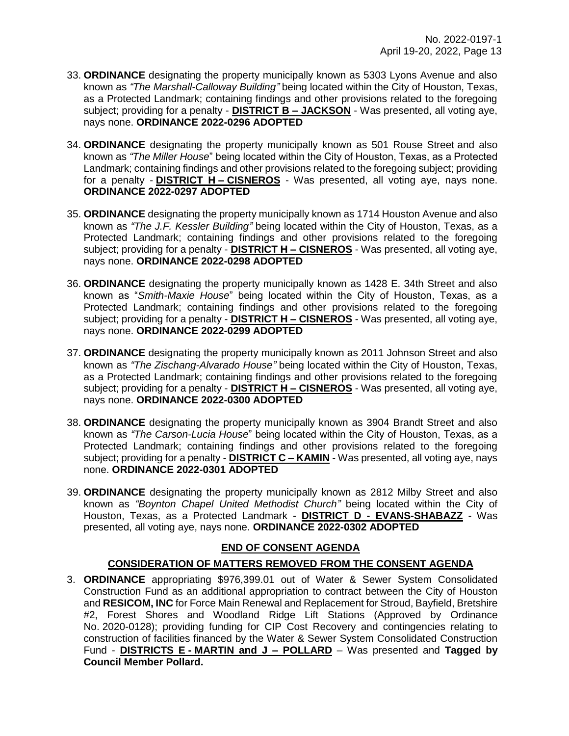- 33. **ORDINANCE** designating the property municipally known as 5303 Lyons Avenue and also known as *"The Marshall-Calloway Building"* being located within the City of Houston, Texas, as a Protected Landmark; containing findings and other provisions related to the foregoing subject; providing for a penalty - **DISTRICT B – JACKSON** - Was presented, all voting aye, nays none. **ORDINANCE 2022-0296 ADOPTED**
- 34. **ORDINANCE** designating the property municipally known as 501 Rouse Street and also known as *"The Miller House*" being located within the City of Houston, Texas, as a Protected Landmark; containing findings and other provisions related to the foregoing subject; providing for a penalty - **DISTRICT H – CISNEROS** - Was presented, all voting aye, nays none. **ORDINANCE 2022-0297 ADOPTED**
- 35. **ORDINANCE** designating the property municipally known as 1714 Houston Avenue and also known as *"The J.F. Kessler Building"* being located within the City of Houston, Texas, as a Protected Landmark; containing findings and other provisions related to the foregoing subject; providing for a penalty - **DISTRICT H – CISNEROS** - Was presented, all voting aye, nays none. **ORDINANCE 2022-0298 ADOPTED**
- 36. **ORDINANCE** designating the property municipally known as 1428 E. 34th Street and also known as "*Smith-Maxie House*" being located within the City of Houston, Texas, as a Protected Landmark; containing findings and other provisions related to the foregoing subject; providing for a penalty - **DISTRICT H – CISNEROS** - Was presented, all voting aye, nays none. **ORDINANCE 2022-0299 ADOPTED**
- 37. **ORDINANCE** designating the property municipally known as 2011 Johnson Street and also known as *"The Zischang-Alvarado House"* being located within the City of Houston, Texas, as a Protected Landmark; containing findings and other provisions related to the foregoing subject; providing for a penalty - **DISTRICT H – CISNEROS** - Was presented, all voting aye, nays none. **ORDINANCE 2022-0300 ADOPTED**
- 38. **ORDINANCE** designating the property municipally known as 3904 Brandt Street and also known as *"The Carson-Lucia House*" being located within the City of Houston, Texas, as a Protected Landmark; containing findings and other provisions related to the foregoing subject; providing for a penalty - **DISTRICT C – KAMIN** - Was presented, all voting aye, nays none. **ORDINANCE 2022-0301 ADOPTED**
- 39. **ORDINANCE** designating the property municipally known as 2812 Milby Street and also known as *"Boynton Chapel United Methodist Church"* being located within the City of Houston, Texas, as a Protected Landmark - **DISTRICT D - EVANS-SHABAZZ** - Was presented, all voting aye, nays none. **ORDINANCE 2022-0302 ADOPTED**

# **END OF CONSENT AGENDA**

# **CONSIDERATION OF MATTERS REMOVED FROM THE CONSENT AGENDA**

3. **ORDINANCE** appropriating \$976,399.01 out of Water & Sewer System Consolidated Construction Fund as an additional appropriation to contract between the City of Houston and **RESICOM, INC** for Force Main Renewal and Replacement for Stroud, Bayfield, Bretshire #2, Forest Shores and Woodland Ridge Lift Stations (Approved by Ordinance No. 2020-0128); providing funding for CIP Cost Recovery and contingencies relating to construction of facilities financed by the Water & Sewer System Consolidated Construction Fund - **DISTRICTS E - MARTIN and J – POLLARD** – Was presented and **Tagged by Council Member Pollard.**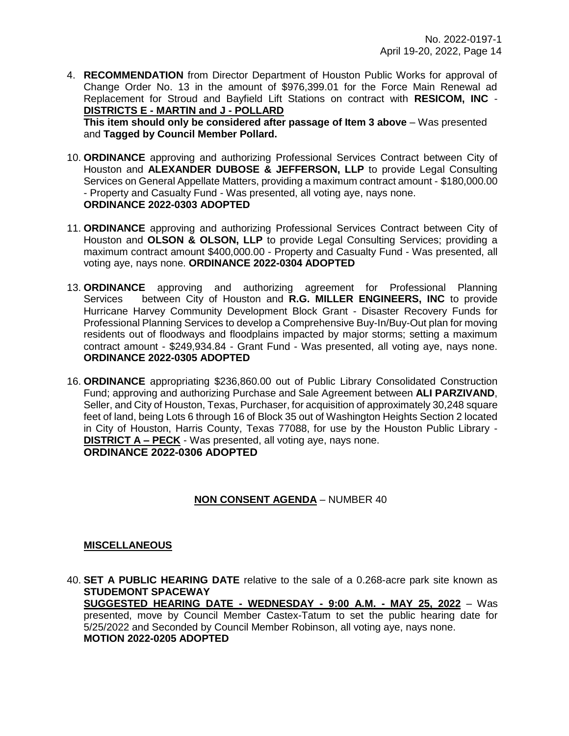4. **RECOMMENDATION** from Director Department of Houston Public Works for approval of Change Order No. 13 in the amount of \$976,399.01 for the Force Main Renewal ad Replacement for Stroud and Bayfield Lift Stations on contract with **RESICOM, INC** - **DISTRICTS E - MARTIN and J - POLLARD**

**This item should only be considered after passage of Item 3 above** – Was presented and **Tagged by Council Member Pollard.**

- 10. **ORDINANCE** approving and authorizing Professional Services Contract between City of Houston and **ALEXANDER DUBOSE & JEFFERSON, LLP** to provide Legal Consulting Services on General Appellate Matters, providing a maximum contract amount - \$180,000.00 - Property and Casualty Fund - Was presented, all voting aye, nays none. **ORDINANCE 2022-0303 ADOPTED**
- 11. **ORDINANCE** approving and authorizing Professional Services Contract between City of Houston and **OLSON & OLSON, LLP** to provide Legal Consulting Services; providing a maximum contract amount \$400,000.00 - Property and Casualty Fund - Was presented, all voting aye, nays none. **ORDINANCE 2022-0304 ADOPTED**
- 13. **ORDINANCE** approving and authorizing agreement for Professional Planning Services between City of Houston and **R.G. MILLER ENGINEERS, INC** to provide Hurricane Harvey Community Development Block Grant - Disaster Recovery Funds for Professional Planning Services to develop a Comprehensive Buy-In/Buy-Out plan for moving residents out of floodways and floodplains impacted by major storms; setting a maximum contract amount - \$249,934.84 - Grant Fund - Was presented, all voting aye, nays none. **ORDINANCE 2022-0305 ADOPTED**
- 16. **ORDINANCE** appropriating \$236,860.00 out of Public Library Consolidated Construction Fund; approving and authorizing Purchase and Sale Agreement between **ALI PARZIVAND**, Seller, and City of Houston, Texas, Purchaser, for acquisition of approximately 30.248 square feet of land, being Lots 6 through 16 of Block 35 out of Washington Heights Section 2 located in City of Houston, Harris County, Texas 77088, for use by the Houston Public Library - **DISTRICT A – PECK** - Was presented, all voting aye, nays none. **ORDINANCE 2022-0306 ADOPTED**

# **NON CONSENT AGENDA** – NUMBER 40

## **MISCELLANEOUS**

40. **SET A PUBLIC HEARING DATE** relative to the sale of a 0.268-acre park site known as **STUDEMONT SPACEWAY SUGGESTED HEARING DATE - WEDNESDAY - 9:00 A.M. - MAY 25, 2022** – Was

presented, move by Council Member Castex-Tatum to set the public hearing date for 5/25/2022 and Seconded by Council Member Robinson, all voting aye, nays none. **MOTION 2022-0205 ADOPTED**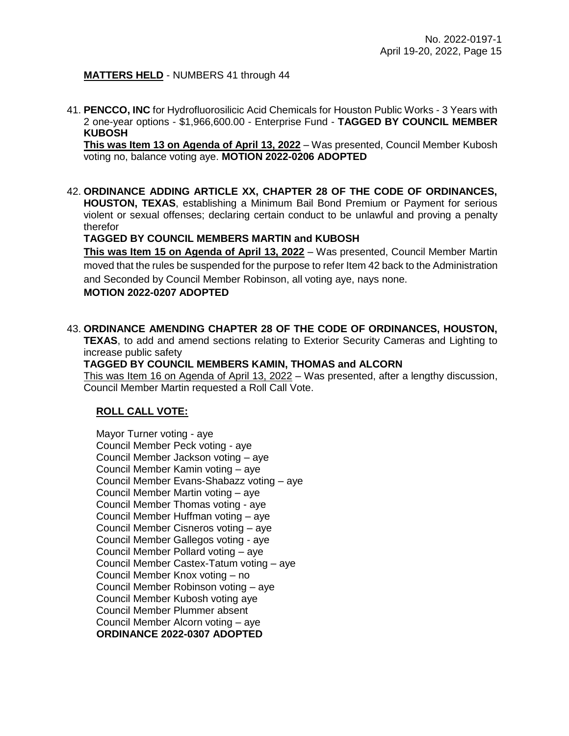# **MATTERS HELD** - NUMBERS 41 through 44

41. **PENCCO, INC** for Hydrofluorosilicic Acid Chemicals for Houston Public Works - 3 Years with 2 one-year options - \$1,966,600.00 - Enterprise Fund - **TAGGED BY COUNCIL MEMBER KUBOSH**

**This was Item 13 on Agenda of April 13, 2022** – Was presented, Council Member Kubosh voting no, balance voting aye. **MOTION 2022-0206 ADOPTED** 

42. **ORDINANCE ADDING ARTICLE XX, CHAPTER 28 OF THE CODE OF ORDINANCES, HOUSTON, TEXAS**, establishing a Minimum Bail Bond Premium or Payment for serious violent or sexual offenses; declaring certain conduct to be unlawful and proving a penalty therefor

**TAGGED BY COUNCIL MEMBERS MARTIN and KUBOSH**

**This was Item 15 on Agenda of April 13, 2022** – Was presented, Council Member Martin moved that the rules be suspended for the purpose to refer Item 42 back to the Administration and Seconded by Council Member Robinson, all voting aye, nays none. **MOTION 2022-0207 ADOPTED** 

# 43. **ORDINANCE AMENDING CHAPTER 28 OF THE CODE OF ORDINANCES, HOUSTON,**

**TEXAS**, to add and amend sections relating to Exterior Security Cameras and Lighting to increase public safety

# **TAGGED BY COUNCIL MEMBERS KAMIN, THOMAS and ALCORN**

This was Item 16 on Agenda of April 13, 2022 - Was presented, after a lengthy discussion, Council Member Martin requested a Roll Call Vote.

# **ROLL CALL VOTE:**

Mayor Turner voting - aye Council Member Peck voting - aye Council Member Jackson voting – aye Council Member Kamin voting – aye Council Member Evans-Shabazz voting – aye Council Member Martin voting – aye Council Member Thomas voting - aye Council Member Huffman voting – aye Council Member Cisneros voting – aye Council Member Gallegos voting - aye Council Member Pollard voting – aye Council Member Castex-Tatum voting – aye Council Member Knox voting – no Council Member Robinson voting – aye Council Member Kubosh voting aye Council Member Plummer absent Council Member Alcorn voting – aye **ORDINANCE 2022-0307 ADOPTED**